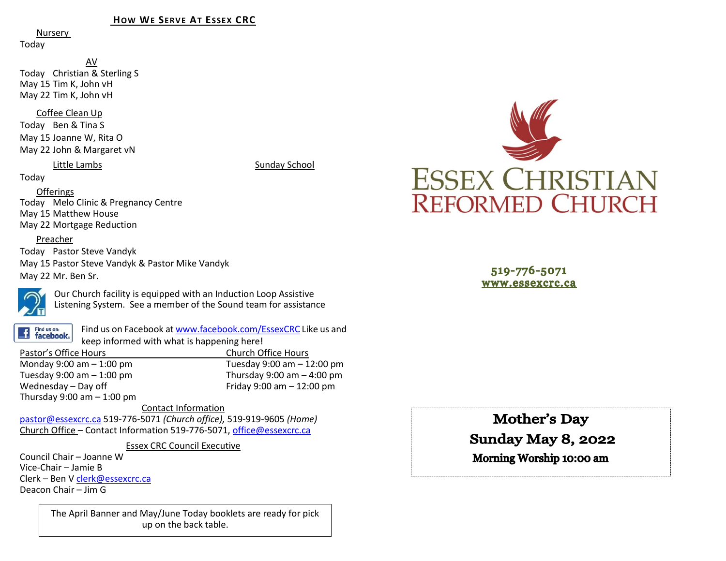#### **HOW WE SERVE AT ESSEX CRC**

Nursery

Today

AV Today Christian & Sterling S May 15 Tim K, John vH May 22 Tim K, John vH

#### Coffee Clean Up

Today Ben & Tina S May 15 Joanne W, Rita O May 22 John & Margaret vN

#### Little Lambs Sunday School

Today

### Offerings

Today Melo Clinic & Pregnancy Centre May 15 Matthew House May 22 Mortgage Reduction

### Preacher

Today Pastor Steve Vandyk May 15 Pastor Steve Vandyk & Pastor Mike Vandyk May 22 Mr. Ben Sr.



Our Church facility is equipped with an Induction Loop Assistive Listening System. See a member of the Sound team for assistance

Find us on: **facebook**.

Find us on Facebook a[t www.facebook.com/EssexCRC](http://www.facebook.com/EssexCRC) Like us and keep informed with what is happening here!

Pastor's Office Hours Church Office Hours Monday 9:00 am – 1:00 pm Tuesday 9:00 am – 12:00 pm Thursday 9:00 am  $-$  4:00 pm Wednesday – Day off  $V = 12:00 \text{ pm}$ Thursday  $9:00$  am  $-1:00$  pm

Contact Information [pastor@essexcrc.ca](mailto:pastor@essexcrc.ca) 519-776-5071 *(Church office),* 519-919-9605 *(Home)* Church Office – Contact Information 519-776-5071[, office@essexcrc.ca](mailto:office@essexcrc.ca)

Essex CRC Council Executive

Council Chair – Joanne W Vice-Chair – Jamie B Clerk – Ben V [clerk@essexcrc.ca](mailto:clerk@essexcrc.ca) Deacon Chair – Jim G

> The April Banner and May/June Today booklets are ready for pick up on the back table.



519-776-5071 www.essexcrc.ca

**Mother's Day** 

# **Sunday May 8, 2022**

Morning Worship 10:00 am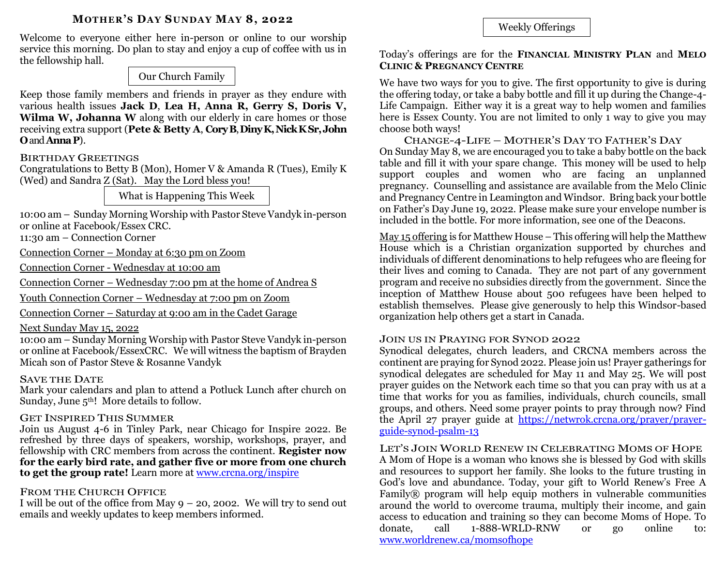### **MOTHER'S DAY SUNDAY MAY 8, 2022**

Welcome to everyone either here in-person or online to our worship service this morning. Do plan to stay and enjoy a cup of coffee with us in the fellowship hall.

Our Church Family

Keep those family members and friends in prayer as they endure with various health issues **Jack D**, **Lea H, Anna R, Gerry S, Doris V, Wilma W, Johanna W** along with our elderly in care homes or those receiving extra support (**Pete & Betty A**, **CoryB**, **DinyK, Nick KSr,John O**and **AnnaP**).

# BIRTHDAY GREETINGS

Congratulations to Betty B (Mon), Homer V & Amanda R (Tues), Emily K (Wed) and Sandra Z (Sat). May the Lord bless you!

What is Happening This Week

10:00 am – Sunday Morning Worship with Pastor Steve Vandyk in-person or online at Facebook/Essex CRC.

11:30 am – Connection Corner

Connection Corner – Monday at 6:30 pm on Zoom

Connection Corner - Wednesday at 10:00 am

Connection Corner – Wednesday 7:00 pm at the home of Andrea S

Youth Connection Corner – Wednesday at 7:00 pm on Zoom

Connection Corner – Saturday at 9:00 am in the Cadet Garage

# Next Sunday May 15, 2022

10:00 am – Sunday Morning Worship with Pastor Steve Vandyk in-person or online at Facebook/EssexCRC. We will witness the baptism of Brayden Micah son of Pastor Steve & Rosanne Vandyk

### SAVE THE DATE

Mark your calendars and plan to attend a Potluck Lunch after church on Sunday, June  $5<sup>th</sup>$ ! More details to follow.

# GET INSPIRED THIS SUMMER

Join us August 4-6 in Tinley Park, near Chicago for Inspire 2022. Be refreshed by three days of speakers, worship, workshops, prayer, and fellowship with CRC members from across the continent. **Register now for the early bird rate, and gather five or more from one church to get the group rate!** Learn more at [www.crcna.org/inspire](http://www.crcna.org/inspire)

# FROM THE CHURCH OFFICE

I will be out of the office from May  $9 - 20$ , 2002. We will try to send out emails and weekly updates to keep members informed.

Weekly Offerings

## Today's offerings are for the **FINANCIAL MINISTRY PLAN** and **MELO CLINIC & PREGNANCY CENTRE**

We have two ways for you to give. The first opportunity to give is during the offering today, or take a baby bottle and fill it up during the Change-4- Life Campaign. Either way it is a great way to help women and families here is Essex County. You are not limited to only 1 way to give you may choose both ways!

CHANGE-4-LIFE – MOTHER'S DAY TO FATHER'S DAY On Sunday May 8, we are encouraged you to take a baby bottle on the back table and fill it with your spare change. This money will be used to help support couples and women who are facing an unplanned pregnancy. Counselling and assistance are available from the Melo Clinic and Pregnancy Centre in Leamington and Windsor. Bring back your bottle on Father's Day June 19, 2022. Please make sure your envelope number is included in the bottle. For more information, see one of the Deacons.

May 15 offering is for Matthew House – This offering will help the Matthew House which is a Christian organization supported by churches and individuals of different denominations to help refugees who are fleeing for their lives and coming to Canada. They are not part of any government program and receive no subsidies directly from the government. Since the inception of Matthew House about 500 refugees have been helped to establish themselves. Please give generously to help this Windsor-based organization help others get a start in Canada.

# JOIN US IN PRAYING FOR SYNOD 2022

Synodical delegates, church leaders, and CRCNA members across the continent are praying for Synod 2022. Please join us! Prayer gatherings for synodical delegates are scheduled for May 11 and May 25. We will post prayer guides on the Network each time so that you can pray with us at a time that works for you as families, individuals, church councils, small groups, and others. Need some prayer points to pray through now? Find the April 27 prayer guide at [https://netwrok.crcna.org/prayer/prayer](https://netwrok.crcna.org/prayer/prayer-guide-synod-psalm-13)[guide-synod-psalm-13](https://netwrok.crcna.org/prayer/prayer-guide-synod-psalm-13)

LET'S JOIN WORLD RENEW IN CELEBRATING MOMS OF HOPE A Mom of Hope is a woman who knows she is blessed by God with skills and resources to support her family. She looks to the future trusting in God's love and abundance. Today, your gift to World Renew's Free A Family® program will help equip mothers in vulnerable communities around the world to overcome trauma, multiply their income, and gain access to education and training so they can become Moms of Hope. To donate, call 1-888-WRLD-RNW or go online to: [www.worldrenew.ca/momsofhope](http://www.worldrenew.ca/momsofhope)